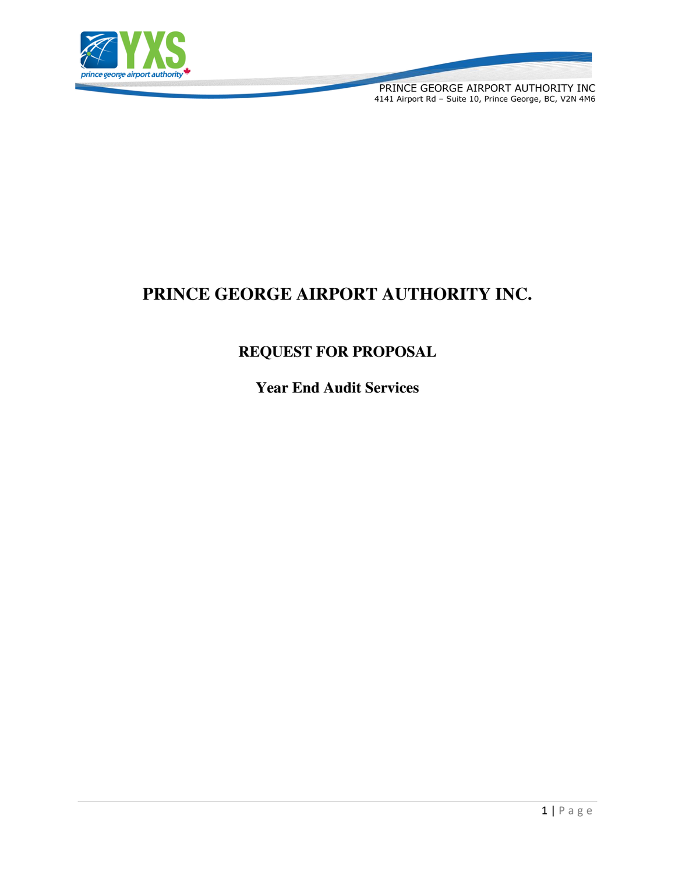

PRINCE GEORGE AIRPORT AUTHORITY INC 4141 Airport Rd – Suite 10, Prince George, BC, V2N 4M6

# **PRINCE GEORGE AIRPORT AUTHORITY INC.**

## **REQUEST FOR PROPOSAL**

**Year End Audit Services**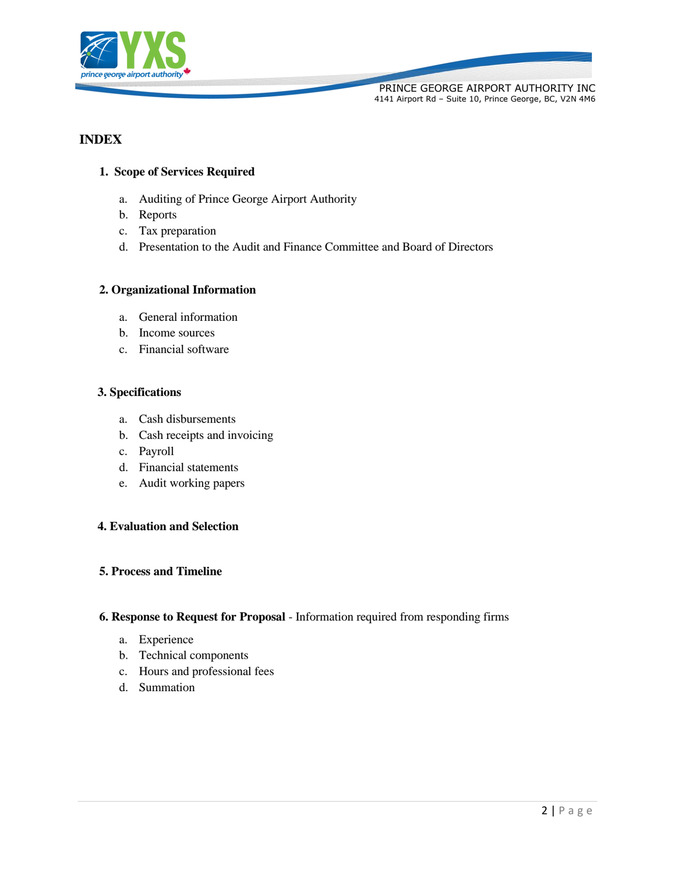

## **INDEX**

## **1. Scope of Services Required**

- a. Auditing of Prince George Airport Authority
- b. Reports
- c. Tax preparation
- d. Presentation to the Audit and Finance Committee and Board of Directors

#### **2. Organizational Information**

- a. General information
- b. Income sources
- c. Financial software

#### **3. Specifications**

- a. Cash disbursements
- b. Cash receipts and invoicing
- c. Payroll
- d. Financial statements
- e. Audit working papers

#### **4. Evaluation and Selection**

## **5. Process and Timeline**

#### **6. Response to Request for Proposal** - Information required from responding firms

- a. Experience
- b. Technical components
- c. Hours and professional fees
- d. Summation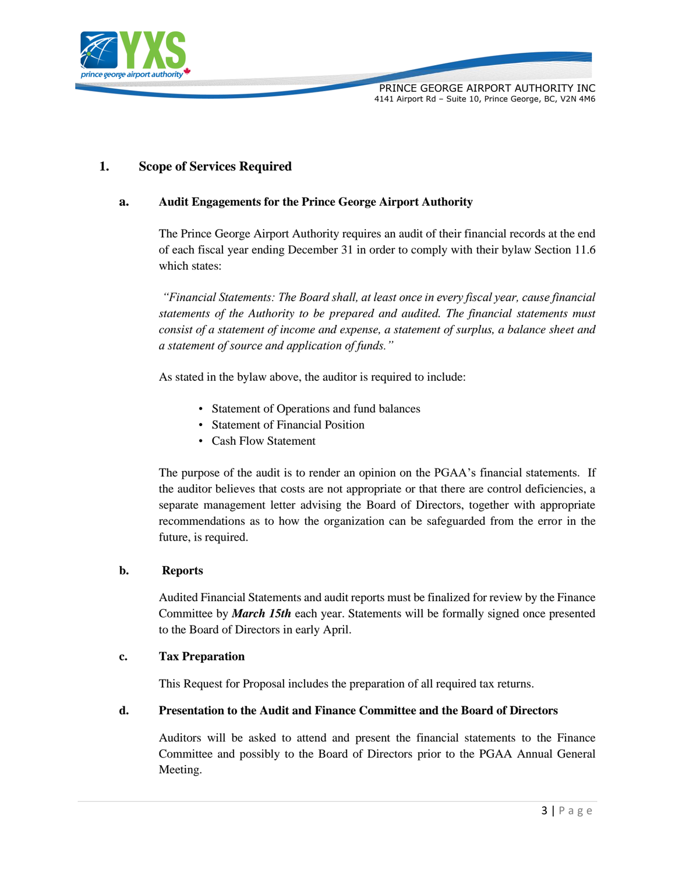

## **1. Scope of Services Required**

## **a. Audit Engagements for the Prince George Airport Authority**

The Prince George Airport Authority requires an audit of their financial records at the end of each fiscal year ending December 31 in order to comply with their bylaw Section 11.6 which states:

*"Financial Statements: The Board shall, at least once in every fiscal year, cause financial statements of the Authority to be prepared and audited. The financial statements must consist of a statement of income and expense, a statement of surplus, a balance sheet and a statement of source and application of funds."*

As stated in the bylaw above, the auditor is required to include:

- Statement of Operations and fund balances
- Statement of Financial Position
- Cash Flow Statement

The purpose of the audit is to render an opinion on the PGAA's financial statements. If the auditor believes that costs are not appropriate or that there are control deficiencies, a separate management letter advising the Board of Directors, together with appropriate recommendations as to how the organization can be safeguarded from the error in the future, is required.

#### **b. Reports**

Audited Financial Statements and audit reports must be finalized for review by the Finance Committee by *March 15th* each year. Statements will be formally signed once presented to the Board of Directors in early April.

#### **c. Tax Preparation**

This Request for Proposal includes the preparation of all required tax returns.

#### **d. Presentation to the Audit and Finance Committee and the Board of Directors**

Auditors will be asked to attend and present the financial statements to the Finance Committee and possibly to the Board of Directors prior to the PGAA Annual General Meeting.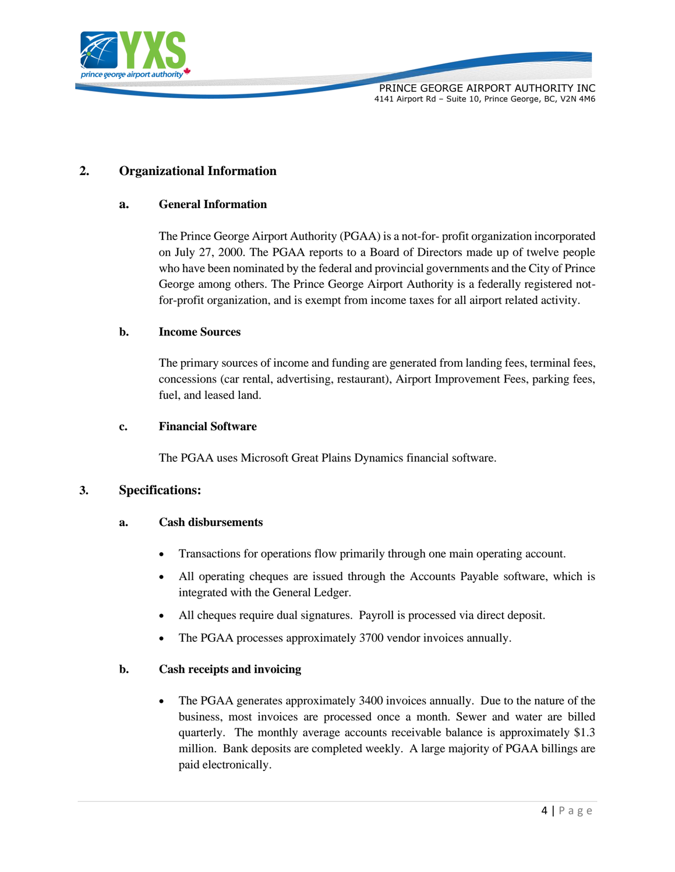

## **2. Organizational Information**

#### **a. General Information**

The Prince George Airport Authority (PGAA) is a not-for- profit organization incorporated on July 27, 2000. The PGAA reports to a Board of Directors made up of twelve people who have been nominated by the federal and provincial governments and the City of Prince George among others. The Prince George Airport Authority is a federally registered notfor-profit organization, and is exempt from income taxes for all airport related activity.

#### **b. Income Sources**

The primary sources of income and funding are generated from landing fees, terminal fees, concessions (car rental, advertising, restaurant), Airport Improvement Fees, parking fees, fuel, and leased land.

#### **c. Financial Software**

The PGAA uses Microsoft Great Plains Dynamics financial software.

#### **3. Specifications:**

#### **a. Cash disbursements**

- Transactions for operations flow primarily through one main operating account.
- All operating cheques are issued through the Accounts Payable software, which is integrated with the General Ledger.
- All cheques require dual signatures. Payroll is processed via direct deposit.
- The PGAA processes approximately 3700 vendor invoices annually.

## **b. Cash receipts and invoicing**

• The PGAA generates approximately 3400 invoices annually. Due to the nature of the business, most invoices are processed once a month. Sewer and water are billed quarterly. The monthly average accounts receivable balance is approximately \$1.3 million. Bank deposits are completed weekly. A large majority of PGAA billings are paid electronically.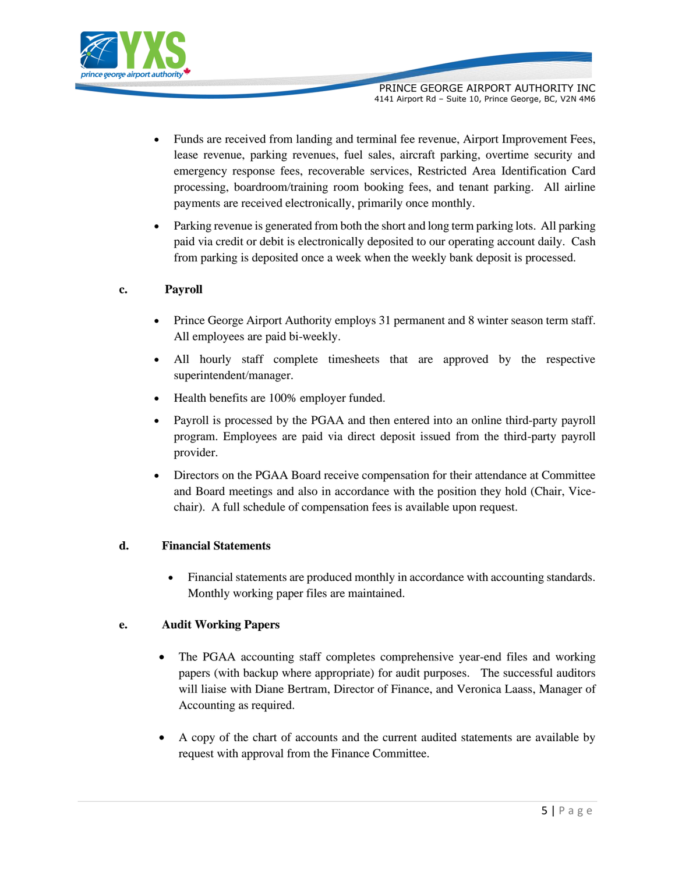

- Funds are received from landing and terminal fee revenue, Airport Improvement Fees, lease revenue, parking revenues, fuel sales, aircraft parking, overtime security and emergency response fees, recoverable services, Restricted Area Identification Card processing, boardroom/training room booking fees, and tenant parking. All airline payments are received electronically, primarily once monthly.
- Parking revenue is generated from both the short and long term parking lots. All parking paid via credit or debit is electronically deposited to our operating account daily. Cash from parking is deposited once a week when the weekly bank deposit is processed.

## **c. Payroll**

- Prince George Airport Authority employs 31 permanent and 8 winter season term staff. All employees are paid bi-weekly.
- All hourly staff complete timesheets that are approved by the respective superintendent/manager.
- Health benefits are 100% employer funded.
- Payroll is processed by the PGAA and then entered into an online third-party payroll program. Employees are paid via direct deposit issued from the third-party payroll provider.
- Directors on the PGAA Board receive compensation for their attendance at Committee and Board meetings and also in accordance with the position they hold (Chair, Vicechair). A full schedule of compensation fees is available upon request.

## **d. Financial Statements**

• Financial statements are produced monthly in accordance with accounting standards. Monthly working paper files are maintained.

## **e. Audit Working Papers**

- The PGAA accounting staff completes comprehensive year-end files and working papers (with backup where appropriate) for audit purposes. The successful auditors will liaise with Diane Bertram, Director of Finance, and Veronica Laass, Manager of Accounting as required.
- A copy of the chart of accounts and the current audited statements are available by request with approval from the Finance Committee.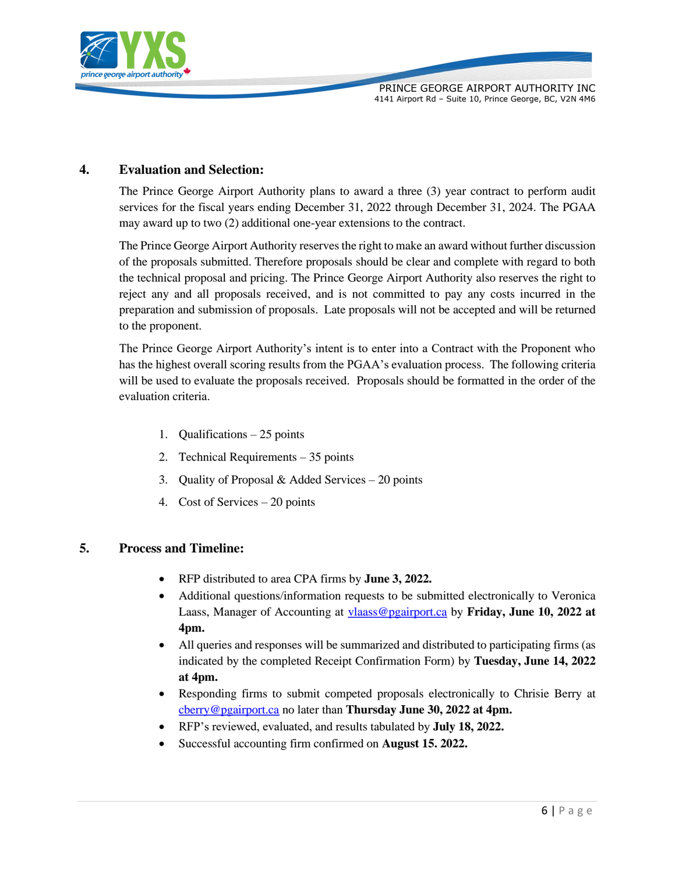

## **4. Evaluation and Selection:**

The Prince George Airport Authority plans to award a three (3) year contract to perform audit services for the fiscal years ending December 31, 2022 through December 31, 2024. The PGAA may award up to two (2) additional one-year extensions to the contract.

The Prince George Airport Authority reserves the right to make an award without further discussion of the proposals submitted. Therefore proposals should be clear and complete with regard to both the technical proposal and pricing. The Prince George Airport Authority also reserves the right to reject any and all proposals received, and is not committed to pay any costs incurred in the preparation and submission of proposals. Late proposals will not be accepted and will be returned to the proponent.

The Prince George Airport Authority's intent is to enter into a Contract with the Proponent who has the highest overall scoring results from the PGAA's evaluation process. The following criteria will be used to evaluate the proposals received. Proposals should be formatted in the order of the evaluation criteria.

- 1. Qualifications 25 points
- 2. Technical Requirements 35 points
- 3. Quality of Proposal & Added Services  $-20$  points
- 4. Cost of Services 20 points

## **5. Process and Timeline:**

- RFP distributed to area CPA firms by **June 3, 2022.**
- Additional questions/information requests to be submitted electronically to Veronica Laass, Manager of Accounting at [vlaass@pgairport.ca](mailto:vlaass@pgairport.ca) by **Friday, June 10, 2022 at 4pm.**
- All queries and responses will be summarized and distributed to participating firms (as indicated by the completed Receipt Confirmation Form) by **Tuesday, June 14, 2022 at 4pm.**
- Responding firms to submit competed proposals electronically to Chrisie Berry at [cberry@pgairport.ca](mailto:cberry@pgairport.ca) no later than **Thursday June 30, 2022 at 4pm.**
- RFP's reviewed, evaluated, and results tabulated by **July 18, 2022.**
- Successful accounting firm confirmed on **August 15. 2022.**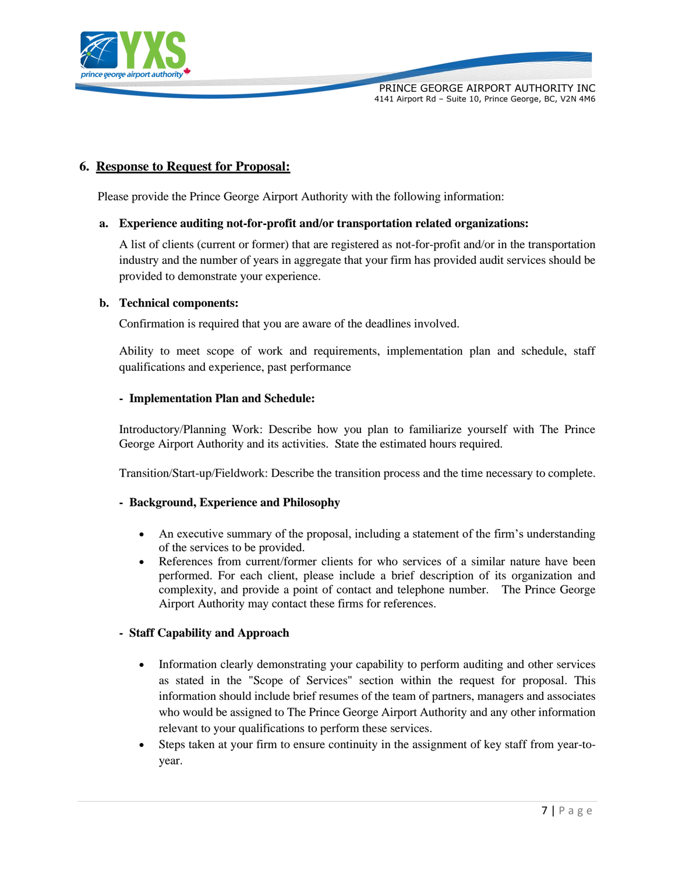

## **6. Response to Request for Proposal:**

Please provide the Prince George Airport Authority with the following information:

#### **a. Experience auditing not-for-profit and/or transportation related organizations:**

A list of clients (current or former) that are registered as not-for-profit and/or in the transportation industry and the number of years in aggregate that your firm has provided audit services should be provided to demonstrate your experience.

#### **b. Technical components:**

Confirmation is required that you are aware of the deadlines involved.

Ability to meet scope of work and requirements, implementation plan and schedule, staff qualifications and experience, past performance

#### **- Implementation Plan and Schedule:**

Introductory/Planning Work: Describe how you plan to familiarize yourself with The Prince George Airport Authority and its activities. State the estimated hours required.

Transition/Start-up/Fieldwork: Describe the transition process and the time necessary to complete.

#### **- Background, Experience and Philosophy**

- An executive summary of the proposal, including a statement of the firm's understanding of the services to be provided.
- References from current/former clients for who services of a similar nature have been performed. For each client, please include a brief description of its organization and complexity, and provide a point of contact and telephone number. The Prince George Airport Authority may contact these firms for references.

#### **- Staff Capability and Approach**

- Information clearly demonstrating your capability to perform auditing and other services as stated in the "Scope of Services" section within the request for proposal. This information should include brief resumes of the team of partners, managers and associates who would be assigned to The Prince George Airport Authority and any other information relevant to your qualifications to perform these services.
- Steps taken at your firm to ensure continuity in the assignment of key staff from year-toyear.